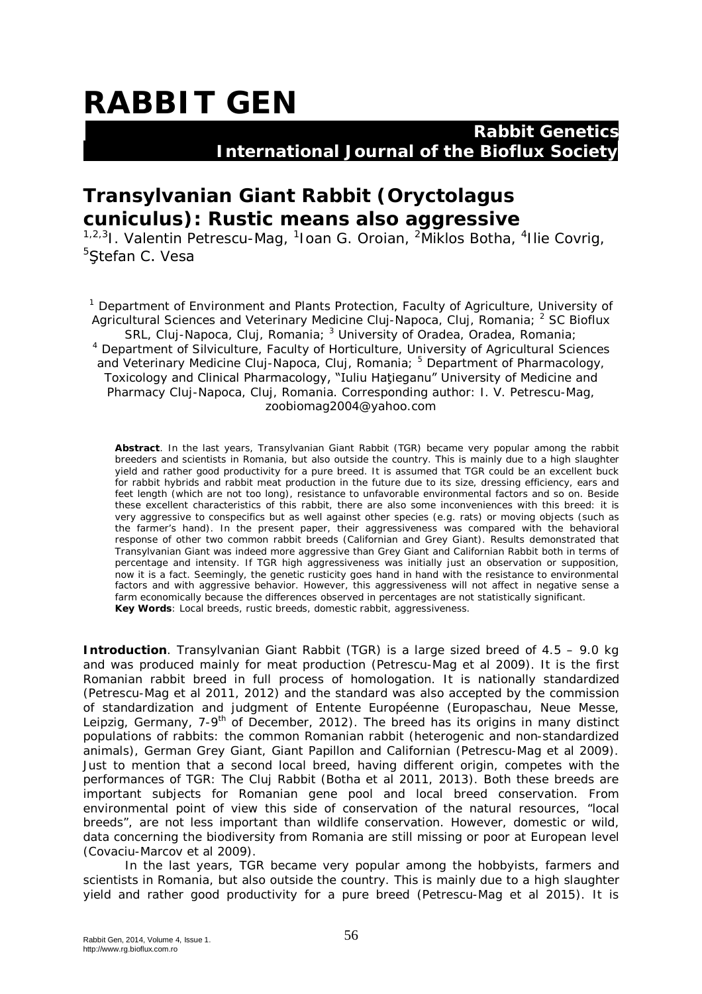# **RABBIT GEN**

### **Rabbit Genetics International Journal of the Bioflux Society**

## **Transylvanian Giant Rabbit (***Oryctolagus cuniculus***): Rustic means also aggressive**

<sup>1,2,3</sup>l. Valentin Petrescu-Mag, <sup>1</sup>loan G. Oroian, <sup>2</sup>Miklos Botha, <sup>4</sup>Ilie Covrig, <sup>5</sup>Stefan C. Vesa

<sup>1</sup> Department of Environment and Plants Protection, Faculty of Agriculture, University of Agricultural Sciences and Veterinary Medicine Cluj-Napoca, Cluj, Romania; <sup>2</sup> SC Bioflux SRL, Cluj-Napoca, Cluj, Romania; <sup>3</sup> University of Oradea, Oradea, Romania; <sup>4</sup> Department of Silviculture, Faculty of Horticulture, University of Agricultural Sciences and Veterinary Medicine Cluj-Napoca, Cluj, Romania; <sup>5</sup> Department of Pharmacology, Toxicology and Clinical Pharmacology, "Iuliu Haţieganu" University of Medicine and Pharmacy Cluj-Napoca, Cluj, Romania. Corresponding author: I. V. Petrescu-Mag, zoobiomag2004@yahoo.com

**Abstract**. In the last years, Transylvanian Giant Rabbit (TGR) became very popular among the rabbit breeders and scientists in Romania, but also outside the country. This is mainly due to a high slaughter yield and rather good productivity for a pure breed. It is assumed that TGR could be an excellent buck for rabbit hybrids and rabbit meat production in the future due to its size, dressing efficiency, ears and feet length (which are not too long), resistance to unfavorable environmental factors and so on. Beside these excellent characteristics of this rabbit, there are also some inconveniences with this breed: it is very aggressive to conspecifics but as well against other species (e.g. rats) or moving objects (such as the farmer's hand). In the present paper, their aggressiveness was compared with the behavioral response of other two common rabbit breeds (Californian and Grey Giant). Results demonstrated that Transylvanian Giant was indeed more aggressive than Grey Giant and Californian Rabbit both in terms of percentage and intensity. If TGR high aggressiveness was initially just an observation or supposition, now it is a fact. Seemingly, the genetic rusticity goes hand in hand with the resistance to environmental factors and with aggressive behavior. However, this aggressiveness will not affect in negative sense a farm economically because the differences observed in percentages are not statistically significant. **Key Words**: Local breeds, rustic breeds, domestic rabbit, aggressiveness.

**Introduction**. Transylvanian Giant Rabbit (TGR) is a large sized breed of 4.5 – 9.0 kg and was produced mainly for meat production (Petrescu-Mag et al 2009). It is the first Romanian rabbit breed in full process of homologation. It is nationally standardized (Petrescu-Mag et al 2011, 2012) and the standard was also accepted by the commission of standardization and judgment of Entente Européenne (Europaschau, Neue Messe, Leipzig, Germany, 7-9<sup>th</sup> of December, 2012). The breed has its origins in many distinct populations of rabbits: the common Romanian rabbit (heterogenic and non-standardized animals), German Grey Giant, Giant Papillon and Californian (Petrescu-Mag et al 2009). Just to mention that a second local breed, having different origin, competes with the performances of TGR: The Cluj Rabbit (Botha et al 2011, 2013). Both these breeds are important subjects for Romanian gene pool and local breed conservation. From environmental point of view this side of conservation of the natural resources, "local breeds", are not less important than wildlife conservation. However, domestic or wild, data concerning the biodiversity from Romania are still missing or poor at European level (Covaciu-Marcov et al 2009).

In the last years, TGR became very popular among the hobbyists, farmers and scientists in Romania, but also outside the country. This is mainly due to a high slaughter yield and rather good productivity for a pure breed (Petrescu-Mag et al 2015). It is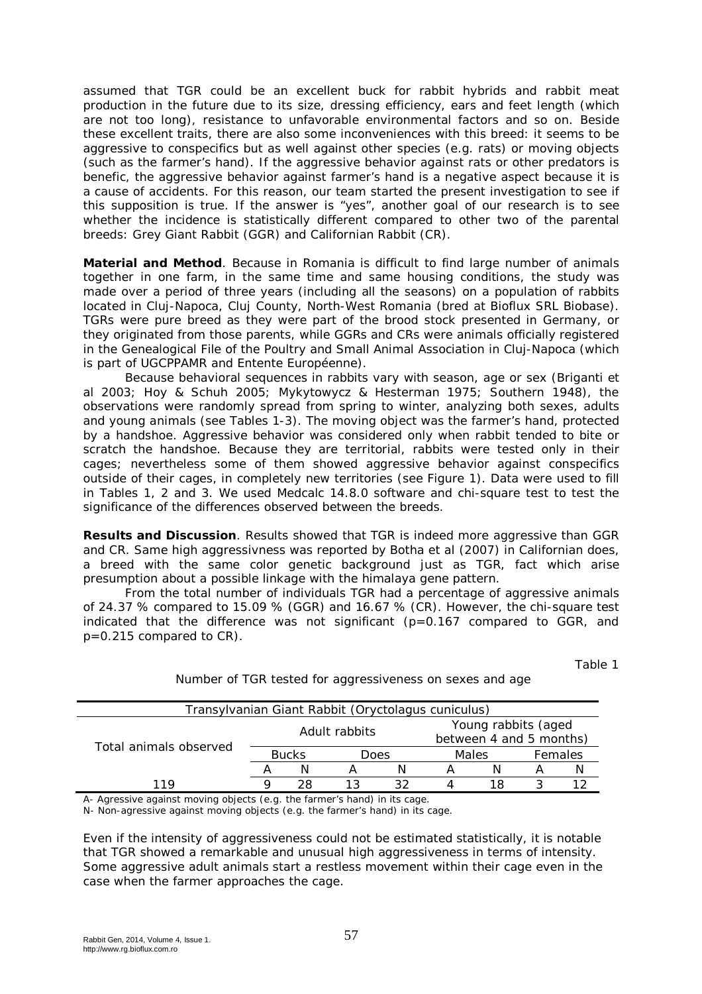assumed that TGR could be an excellent buck for rabbit hybrids and rabbit meat production in the future due to its size, dressing efficiency, ears and feet length (which are not too long), resistance to unfavorable environmental factors and so on. Beside these excellent traits, there are also some inconveniences with this breed: it seems to be aggressive to conspecifics but as well against other species (e.g. rats) or moving objects (such as the farmer's hand). If the aggressive behavior against rats or other predators is benefic, the aggressive behavior against farmer's hand is a negative aspect because it is a cause of accidents. For this reason, our team started the present investigation to see if this supposition is true. If the answer is "yes", another goal of our research is to see whether the incidence is statistically different compared to other two of the parental breeds: Grey Giant Rabbit (GGR) and Californian Rabbit (CR).

**Material and Method**. Because in Romania is difficult to find large number of animals together in one farm, in the same time and same housing conditions, the study was made over a period of three years (including all the seasons) on a population of rabbits located in Cluj-Napoca, Cluj County, North-West Romania (bred at Bioflux SRL Biobase). TGRs were pure breed as they were part of the brood stock presented in Germany, or they originated from those parents, while GGRs and CRs were animals officially registered in the Genealogical File of the Poultry and Small Animal Association in Cluj-Napoca (which is part of UGCPPAMR and Entente Européenne).

Because behavioral sequences in rabbits vary with season, age or sex (Briganti et al 2003; Hoy & Schuh 2005; Mykytowycz & Hesterman 1975; Southern 1948), the observations were randomly spread from spring to winter, analyzing both sexes, adults and young animals (see Tables 1-3). The moving object was the farmer's hand, protected by a handshoe. Aggressive behavior was considered only when rabbit tended to bite or scratch the handshoe. Because they are territorial, rabbits were tested only in their cages; nevertheless some of them showed aggressive behavior against conspecifics outside of their cages, in completely new territories (see Figure 1). Data were used to fill in Tables 1, 2 and 3. We used Medcalc 14.8.0 software and chi-square test to test the significance of the differences observed between the breeds.

**Results and Discussion**. Results showed that TGR is indeed more aggressive than GGR and CR. Same high aggressivness was reported by Botha et al (2007) in Californian does, a breed with the same color genetic background just as TGR, fact which arise presumption about a possible linkage with the himalaya gene pattern.

From the total number of individuals TGR had a percentage of aggressive animals of 24.37 % compared to 15.09 % (GGR) and 16.67 % (CR). However, the chi-square test indicated that the difference was not significant (p=0.167 compared to GGR, and p=0.215 compared to CR).

Table 1

| Transylvanian Giant Rabbit (Oryctolagus cuniculus) |               |    |      |  |                                                |  |         |  |  |
|----------------------------------------------------|---------------|----|------|--|------------------------------------------------|--|---------|--|--|
| Total animals observed                             | Adult rabbits |    |      |  | Young rabbits (aged<br>between 4 and 5 months) |  |         |  |  |
|                                                    | <b>Bucks</b>  |    | Does |  | Males                                          |  | Females |  |  |
|                                                    |               |    |      |  |                                                |  |         |  |  |
| 119                                                |               | 28 |      |  |                                                |  |         |  |  |

Number of TGR tested for aggressiveness on sexes and age

A- Agressive against moving objects (e.g. the farmer's hand) in its cage.

N- Non-agressive against moving objects (e.g. the farmer's hand) in its cage.

Even if the intensity of aggressiveness could not be estimated statistically, it is notable that TGR showed a remarkable and unusual high aggressiveness in terms of intensity. Some aggressive adult animals start a restless movement within their cage even in the case when the farmer approaches the cage.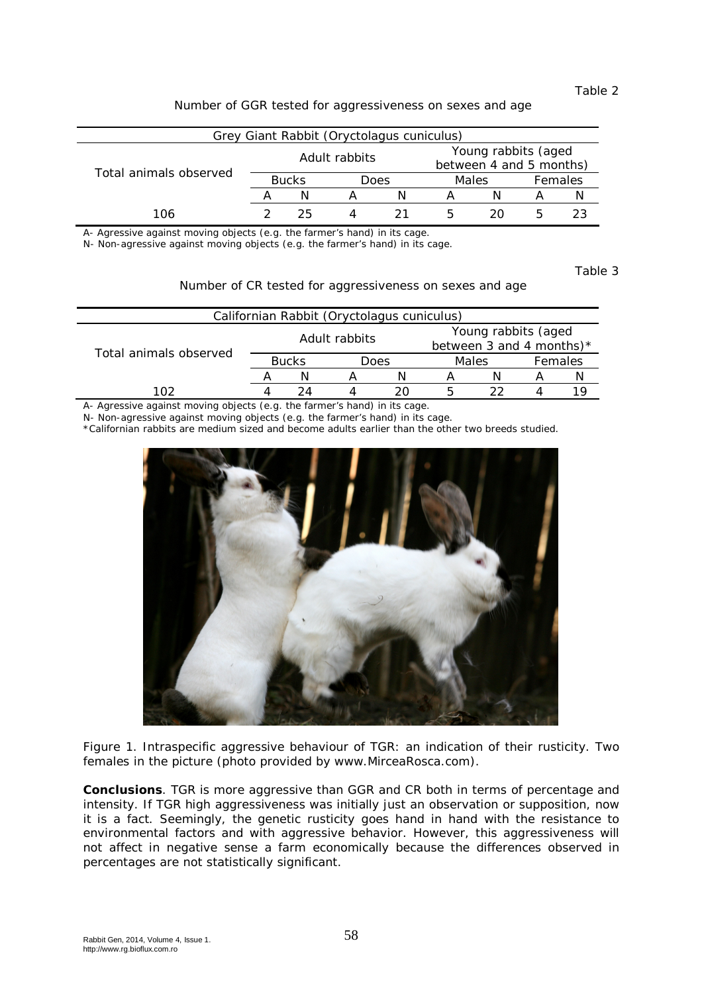### Table 2

Number of GGR tested for aggressiveness on sexes and age

| Grey Giant Rabbit (Oryctolagus cuniculus) |               |    |      |    |                                                |    |         |    |  |
|-------------------------------------------|---------------|----|------|----|------------------------------------------------|----|---------|----|--|
| Total animals observed                    | Adult rabbits |    |      |    | Young rabbits (aged<br>between 4 and 5 months) |    |         |    |  |
|                                           | <b>Bucks</b>  |    | Does |    | Males                                          |    | Females |    |  |
|                                           |               | N  |      |    |                                                |    |         |    |  |
| 106                                       |               | 25 |      | 21 | h                                              | 20 |         | 23 |  |

A- Agressive against moving objects (e.g. the farmer's hand) in its cage.

N- Non-agressive against moving objects (e.g. the farmer's hand) in its cage.

Table 3

Number of CR tested for aggressiveness on sexes and age

| Californian Rabbit (Oryctolagus cuniculus) |               |    |      |     |                                                    |    |         |  |  |
|--------------------------------------------|---------------|----|------|-----|----------------------------------------------------|----|---------|--|--|
| Total animals observed                     | Adult rabbits |    |      |     | Young rabbits (aged<br>between 3 and 4 months) $*$ |    |         |  |  |
|                                            | <b>Bucks</b>  |    | Does |     | Males                                              |    | Females |  |  |
|                                            |               |    |      |     |                                                    |    |         |  |  |
| 102                                        |               | 24 |      | 20. | ь                                                  | つつ |         |  |  |
|                                            |               |    |      |     |                                                    |    |         |  |  |

A- Agressive against moving objects (e.g. the farmer's hand) in its cage.

N- Non-agressive against moving objects (e.g. the farmer's hand) in its cage.

\*Californian rabbits are medium sized and become adults earlier than the other two breeds studied.



Figure 1. Intraspecific aggressive behaviour of TGR: an indication of their rusticity. Two females in the picture (photo provided by www.MirceaRosca.com).

**Conclusions**. TGR is more aggressive than GGR and CR both in terms of percentage and intensity. If TGR high aggressiveness was initially just an observation or supposition, now it is a fact. Seemingly, the genetic rusticity goes hand in hand with the resistance to environmental factors and with aggressive behavior. However, this aggressiveness will not affect in negative sense a farm economically because the differences observed in percentages are not statistically significant.